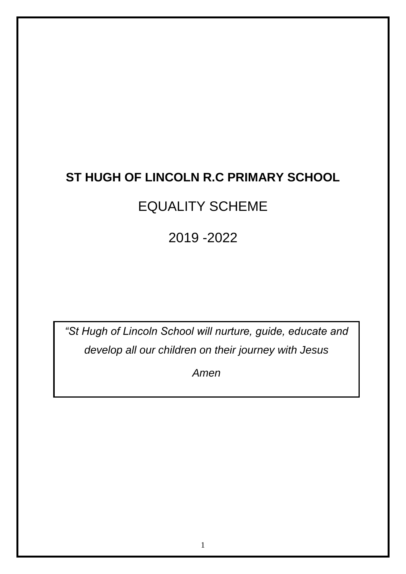# **ST HUGH OF LINCOLN R.C PRIMARY SCHOOL**

# EQUALITY SCHEME

# 2019 -2022

*"St Hugh of Lincoln School will nurture, guide, educate and develop all our children on their journey with Jesus*

*Amen*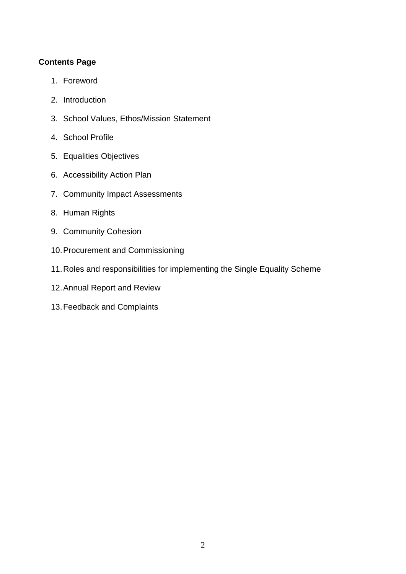# **Contents Page**

- 1. Foreword
- 2. Introduction
- 3. School Values, Ethos/Mission Statement
- 4. School Profile
- 5. Equalities Objectives
- 6. Accessibility Action Plan
- 7. Community Impact Assessments
- 8. Human Rights
- 9. Community Cohesion
- 10.Procurement and Commissioning
- 11.Roles and responsibilities for implementing the Single Equality Scheme
- 12.Annual Report and Review
- 13.Feedback and Complaints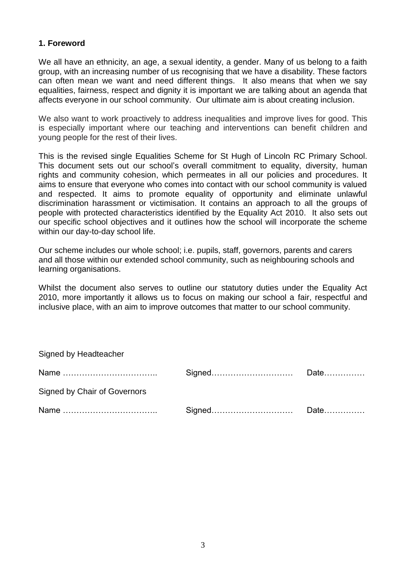#### **1. Foreword**

We all have an ethnicity, an age, a sexual identity, a gender. Many of us belong to a faith group, with an increasing number of us recognising that we have a disability. These factors can often mean we want and need different things. It also means that when we say equalities, fairness, respect and dignity it is important we are talking about an agenda that affects everyone in our school community. Our ultimate aim is about creating inclusion.

We also want to work proactively to address inequalities and improve lives for good. This is especially important where our teaching and interventions can benefit children and young people for the rest of their lives.

This is the revised single Equalities Scheme for St Hugh of Lincoln RC Primary School. This document sets out our school's overall commitment to equality, diversity, human rights and community cohesion, which permeates in all our policies and procedures. It aims to ensure that everyone who comes into contact with our school community is valued and respected. It aims to promote equality of opportunity and eliminate unlawful discrimination harassment or victimisation. It contains an approach to all the groups of people with protected characteristics identified by the Equality Act 2010. It also sets out our specific school objectives and it outlines how the school will incorporate the scheme within our day-to-day school life.

Our scheme includes our whole school; i.e. pupils, staff, governors, parents and carers and all those within our extended school community, such as neighbouring schools and learning organisations.

Whilst the document also serves to outline our statutory duties under the Equality Act 2010, more importantly it allows us to focus on making our school a fair, respectful and inclusive place, with an aim to improve outcomes that matter to our school community.

| Signed by Headteacher        |  |
|------------------------------|--|
|                              |  |
| Signed by Chair of Governors |  |
|                              |  |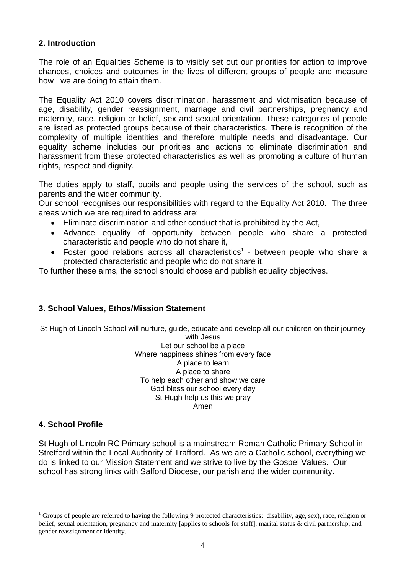# **2. Introduction**

The role of an Equalities Scheme is to visibly set out our priorities for action to improve chances, choices and outcomes in the lives of different groups of people and measure how we are doing to attain them.

The Equality Act 2010 covers discrimination, harassment and victimisation because of age, disability, gender reassignment, marriage and civil partnerships, pregnancy and maternity, race, religion or belief, sex and sexual orientation. These categories of people are listed as protected groups because of their characteristics. There is recognition of the complexity of multiple identities and therefore multiple needs and disadvantage. Our equality scheme includes our priorities and actions to eliminate discrimination and harassment from these protected characteristics as well as promoting a culture of human rights, respect and dignity.

The duties apply to staff, pupils and people using the services of the school, such as parents and the wider community.

Our school recognises our responsibilities with regard to the Equality Act 2010. The three areas which we are required to address are:

- Eliminate discrimination and other conduct that is prohibited by the Act,
- Advance equality of opportunity between people who share a protected characteristic and people who do not share it,
- Foster good relations across all characteristics<sup>1</sup> between people who share a protected characteristic and people who do not share it.

To further these aims, the school should choose and publish equality objectives.

# **3. School Values, Ethos/Mission Statement**

St Hugh of Lincoln School will nurture, guide, educate and develop all our children on their journey

with Jesus Let our school be a place Where happiness shines from every face A place to learn A place to share To help each other and show we care God bless our school every day St Hugh help us this we pray Amen

# **4. School Profile**

<u>.</u>

St Hugh of Lincoln RC Primary school is a mainstream Roman Catholic Primary School in Stretford within the Local Authority of Trafford. As we are a Catholic school, everything we do is linked to our Mission Statement and we strive to live by the Gospel Values. Our school has strong links with Salford Diocese, our parish and the wider community.

<sup>1</sup> Groups of people are referred to having the following 9 protected characteristics: disability, age, sex), race, religion or belief, sexual orientation, pregnancy and maternity [applies to schools for staff], marital status & civil partnership, and gender reassignment or identity.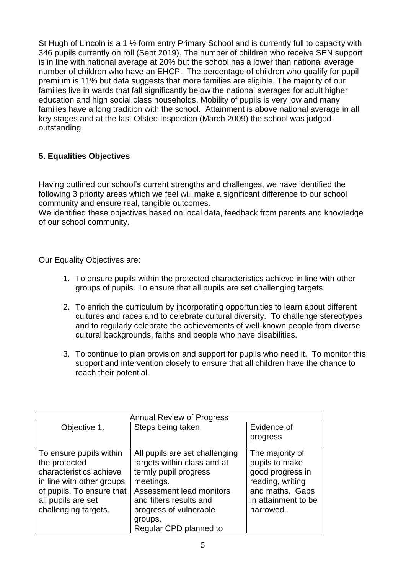St Hugh of Lincoln is a 1 <sup>1/2</sup> form entry Primary School and is currently full to capacity with 346 pupils currently on roll (Sept 2019). The number of children who receive SEN support is in line with national average at 20% but the school has a lower than national average number of children who have an EHCP. The percentage of children who qualify for pupil premium is 11% but data suggests that more families are eligible. The majority of our families live in wards that fall significantly below the national averages for adult higher education and high social class households. Mobility of pupils is very low and many families have a long tradition with the school. Attainment is above national average in all key stages and at the last Ofsted Inspection (March 2009) the school was judged outstanding.

# **5. Equalities Objectives**

Having outlined our school's current strengths and challenges, we have identified the following 3 priority areas which we feel will make a significant difference to our school community and ensure real, tangible outcomes.

We identified these objectives based on local data, feedback from parents and knowledge of our school community.

Our Equality Objectives are:

- 1. To ensure pupils within the protected characteristics achieve in line with other groups of pupils. To ensure that all pupils are set challenging targets.
- 2. To enrich the curriculum by incorporating opportunities to learn about different cultures and races and to celebrate cultural diversity. To challenge stereotypes and to regularly celebrate the achievements of well-known people from diverse cultural backgrounds, faiths and people who have disabilities.
- 3. To continue to plan provision and support for pupils who need it. To monitor this support and intervention closely to ensure that all children have the chance to reach their potential.

| <b>Annual Review of Progress</b> |                                |                     |  |  |
|----------------------------------|--------------------------------|---------------------|--|--|
| Objective 1.                     | Steps being taken              | Evidence of         |  |  |
|                                  |                                | progress            |  |  |
| To ensure pupils within          | All pupils are set challenging | The majority of     |  |  |
| the protected                    | targets within class and at    | pupils to make      |  |  |
| characteristics achieve          | termly pupil progress          | good progress in    |  |  |
| in line with other groups        | meetings.                      | reading, writing    |  |  |
| of pupils. To ensure that        | Assessment lead monitors       | and maths. Gaps     |  |  |
| all pupils are set               | and filters results and        | in attainment to be |  |  |
| challenging targets.             | progress of vulnerable         | narrowed.           |  |  |
|                                  | groups.                        |                     |  |  |
|                                  | Regular CPD planned to         |                     |  |  |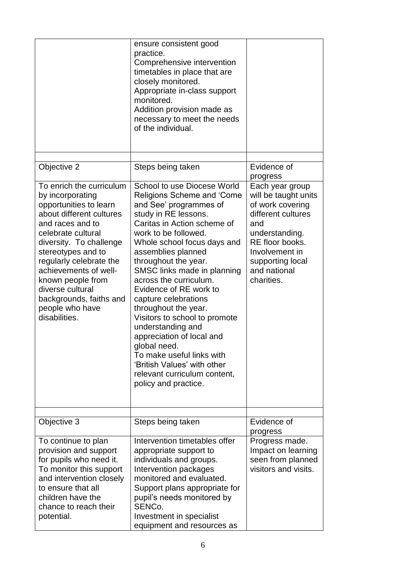|                                                                                                                                                                                                                                                                                                                                                           | ensure consistent good<br>practice.<br>Comprehensive intervention<br>timetables in place that are<br>closely monitored.<br>Appropriate in-class support<br>monitored.<br>Addition provision made as<br>necessary to meet the needs<br>of the individual.                                                                                                                                                                                                                                                                                                                                                  |                                                                                                                                                                                                   |
|-----------------------------------------------------------------------------------------------------------------------------------------------------------------------------------------------------------------------------------------------------------------------------------------------------------------------------------------------------------|-----------------------------------------------------------------------------------------------------------------------------------------------------------------------------------------------------------------------------------------------------------------------------------------------------------------------------------------------------------------------------------------------------------------------------------------------------------------------------------------------------------------------------------------------------------------------------------------------------------|---------------------------------------------------------------------------------------------------------------------------------------------------------------------------------------------------|
|                                                                                                                                                                                                                                                                                                                                                           |                                                                                                                                                                                                                                                                                                                                                                                                                                                                                                                                                                                                           |                                                                                                                                                                                                   |
| Objective 2                                                                                                                                                                                                                                                                                                                                               | Steps being taken                                                                                                                                                                                                                                                                                                                                                                                                                                                                                                                                                                                         | Evidence of<br>progress                                                                                                                                                                           |
| To enrich the curriculum<br>by incorporating<br>opportunities to learn<br>about different cultures<br>and races and to<br>celebrate cultural<br>diversity. To challenge<br>stereotypes and to<br>regularly celebrate the<br>achievements of well-<br>known people from<br>diverse cultural<br>backgrounds, faiths and<br>people who have<br>disabilities. | School to use Diocese World<br>Religions Scheme and 'Come<br>and See' programmes of<br>study in RE lessons.<br>Caritas in Action scheme of<br>work to be followed.<br>Whole school focus days and<br>assemblies planned<br>throughout the year.<br>SMSC links made in planning<br>across the curriculum.<br>Evidence of RE work to<br>capture celebrations<br>throughout the year.<br>Visitors to school to promote<br>understanding and<br>appreciation of local and<br>global need.<br>To make useful links with<br>'British Values' with other<br>relevant curriculum content,<br>policy and practice. | Each year group<br>will be taught units<br>of work covering<br>different cultures<br>and<br>understanding.<br>RE floor books.<br>Involvement in<br>supporting local<br>and national<br>charities. |
| Objective 3                                                                                                                                                                                                                                                                                                                                               | Steps being taken                                                                                                                                                                                                                                                                                                                                                                                                                                                                                                                                                                                         | Evidence of<br>progress                                                                                                                                                                           |
| To continue to plan<br>provision and support<br>for pupils who need it.<br>To monitor this support<br>and intervention closely<br>to ensure that all<br>children have the<br>chance to reach their<br>potential.                                                                                                                                          | Intervention timetables offer<br>appropriate support to<br>individuals and groups.<br>Intervention packages<br>monitored and evaluated.<br>Support plans appropriate for<br>pupil's needs monitored by<br>SENC <sub>o.</sub><br>Investment in specialist<br>equipment and resources as                                                                                                                                                                                                                                                                                                                    | Progress made.<br>Impact on learning<br>seen from planned<br>visitors and visits.                                                                                                                 |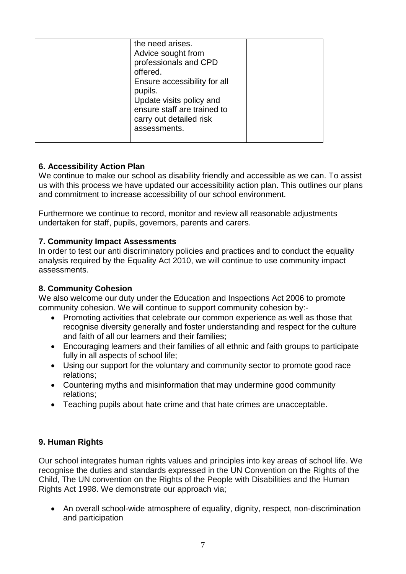| the need arises.<br>Advice sought from<br>professionals and CPD<br>offered.<br>Ensure accessibility for all   |  |
|---------------------------------------------------------------------------------------------------------------|--|
| pupils.<br>Update visits policy and<br>ensure staff are trained to<br>carry out detailed risk<br>assessments. |  |

# **6. Accessibility Action Plan**

We continue to make our school as disability friendly and accessible as we can. To assist us with this process we have updated our accessibility action plan. This outlines our plans and commitment to increase accessibility of our school environment.

Furthermore we continue to record, monitor and review all reasonable adjustments undertaken for staff, pupils, governors, parents and carers.

# **7. Community Impact Assessments**

In order to test our anti discriminatory policies and practices and to conduct the equality analysis required by the Equality Act 2010, we will continue to use community impact assessments.

#### **8. Community Cohesion**

We also welcome our duty under the Education and Inspections Act 2006 to promote community cohesion. We will continue to support community cohesion by:-

- Promoting activities that celebrate our common experience as well as those that recognise diversity generally and foster understanding and respect for the culture and faith of all our learners and their families;
- Encouraging learners and their families of all ethnic and faith groups to participate fully in all aspects of school life:
- Using our support for the voluntary and community sector to promote good race relations;
- Countering myths and misinformation that may undermine good community relations;
- Teaching pupils about hate crime and that hate crimes are unacceptable.

# **9. Human Rights**

Our school integrates human rights values and principles into key areas of school life. We recognise the duties and standards expressed in the UN Convention on the Rights of the Child, The UN convention on the Rights of the People with Disabilities and the Human Rights Act 1998. We demonstrate our approach via;

 An overall school-wide atmosphere of equality, dignity, respect, non-discrimination and participation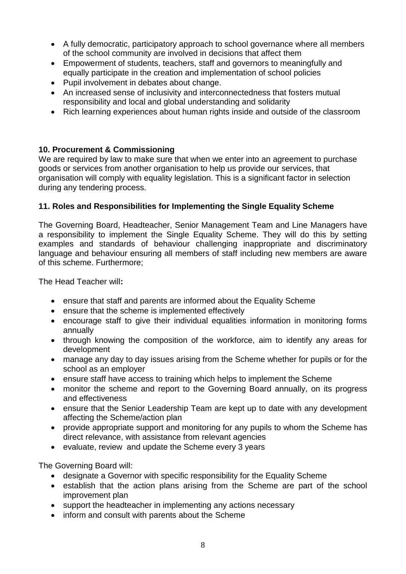- A fully democratic, participatory approach to school governance where all members of the school community are involved in decisions that affect them
- Empowerment of students, teachers, staff and governors to meaningfully and equally participate in the creation and implementation of school policies
- Pupil involvement in debates about change.
- An increased sense of inclusivity and interconnectedness that fosters mutual responsibility and local and global understanding and solidarity
- Rich learning experiences about human rights inside and outside of the classroom

# **10. Procurement & Commissioning**

We are required by law to make sure that when we enter into an agreement to purchase goods or services from another organisation to help us provide our services, that organisation will comply with equality legislation. This is a significant factor in selection during any tendering process.

# **11. Roles and Responsibilities for Implementing the Single Equality Scheme**

The Governing Board, Headteacher, Senior Management Team and Line Managers have a responsibility to implement the Single Equality Scheme. They will do this by setting examples and standards of behaviour challenging inappropriate and discriminatory language and behaviour ensuring all members of staff including new members are aware of this scheme. Furthermore;

The Head Teacher will**:**

- ensure that staff and parents are informed about the Equality Scheme
- ensure that the scheme is implemented effectively
- encourage staff to give their individual equalities information in monitoring forms annually
- through knowing the composition of the workforce, aim to identify any areas for development
- manage any day to day issues arising from the Scheme whether for pupils or for the school as an employer
- ensure staff have access to training which helps to implement the Scheme
- monitor the scheme and report to the Governing Board annually, on its progress and effectiveness
- ensure that the Senior Leadership Team are kept up to date with any development affecting the Scheme/action plan
- provide appropriate support and monitoring for any pupils to whom the Scheme has direct relevance, with assistance from relevant agencies
- evaluate, review and update the Scheme every 3 years

The Governing Board will:

- designate a Governor with specific responsibility for the Equality Scheme
- establish that the action plans arising from the Scheme are part of the school improvement plan
- support the headteacher in implementing any actions necessary
- inform and consult with parents about the Scheme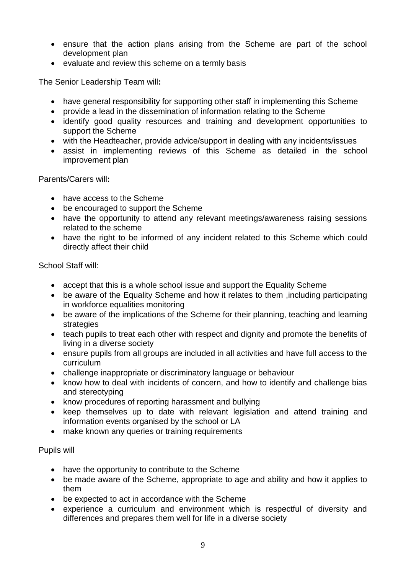- ensure that the action plans arising from the Scheme are part of the school development plan
- evaluate and review this scheme on a termly basis

The Senior Leadership Team will**:**

- have general responsibility for supporting other staff in implementing this Scheme
- provide a lead in the dissemination of information relating to the Scheme
- identify good quality resources and training and development opportunities to support the Scheme
- with the Headteacher, provide advice/support in dealing with any incidents/issues
- assist in implementing reviews of this Scheme as detailed in the school improvement plan

Parents/Carers will**:**

- have access to the Scheme
- be encouraged to support the Scheme
- have the opportunity to attend any relevant meetings/awareness raising sessions related to the scheme
- have the right to be informed of any incident related to this Scheme which could directly affect their child

School Staff will:

- accept that this is a whole school issue and support the Equality Scheme
- be aware of the Equality Scheme and how it relates to them ,including participating in workforce equalities monitoring
- be aware of the implications of the Scheme for their planning, teaching and learning strategies
- teach pupils to treat each other with respect and dignity and promote the benefits of living in a diverse society
- ensure pupils from all groups are included in all activities and have full access to the curriculum
- challenge inappropriate or discriminatory language or behaviour
- know how to deal with incidents of concern, and how to identify and challenge bias and stereotyping
- know procedures of reporting harassment and bullying
- keep themselves up to date with relevant legislation and attend training and information events organised by the school or LA
- make known any queries or training requirements

#### Pupils will

- have the opportunity to contribute to the Scheme
- be made aware of the Scheme, appropriate to age and ability and how it applies to them
- be expected to act in accordance with the Scheme
- experience a curriculum and environment which is respectful of diversity and differences and prepares them well for life in a diverse society